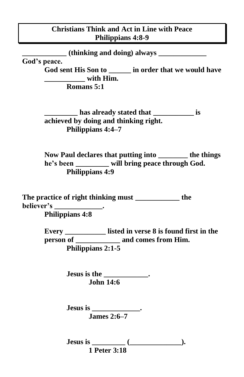## **Christians Think and Act in Line with Peace Philippians 4:8-9**

**\_\_\_\_\_\_\_\_\_\_\_\_ (thinking and doing) always \_\_\_\_\_\_\_\_\_\_\_\_\_**

**God's peace.** 

**God sent His Son to \_\_\_\_\_\_ in order that we would have \_\_\_\_\_\_\_\_\_\_\_ with Him. Romans 5:1**

**\_\_\_\_\_\_\_\_\_ has already stated that \_\_\_\_\_\_\_\_\_\_\_ is achieved by doing and thinking right. Philippians 4:4–7** 

**Now Paul declares that putting into \_\_\_\_\_\_\_\_ the things he's been \_\_\_\_\_\_\_\_\_ will bring peace through God. Philippians 4:9** 

**The practice of right thinking must \_\_\_\_\_\_\_\_\_\_\_\_ the believer's \_\_\_\_\_\_\_\_\_\_\_\_\_. Philippians 4:8**

> **Every \_\_\_\_\_\_\_\_\_\_\_ listed in verse 8 is found first in the person of \_\_\_\_\_\_\_\_\_\_\_\_ and comes from Him. Philippians 2:1-5**

> > **Jesus is the \_\_\_\_\_\_\_\_\_\_\_\_. John 14:6**

**Jesus is \_\_\_\_\_\_\_\_\_\_\_\_\_. James 2:6–7**

**Jesus is \_\_\_\_\_\_\_\_\_ (\_\_\_\_\_\_\_\_\_\_\_\_\_\_). 1 Peter 3:18**